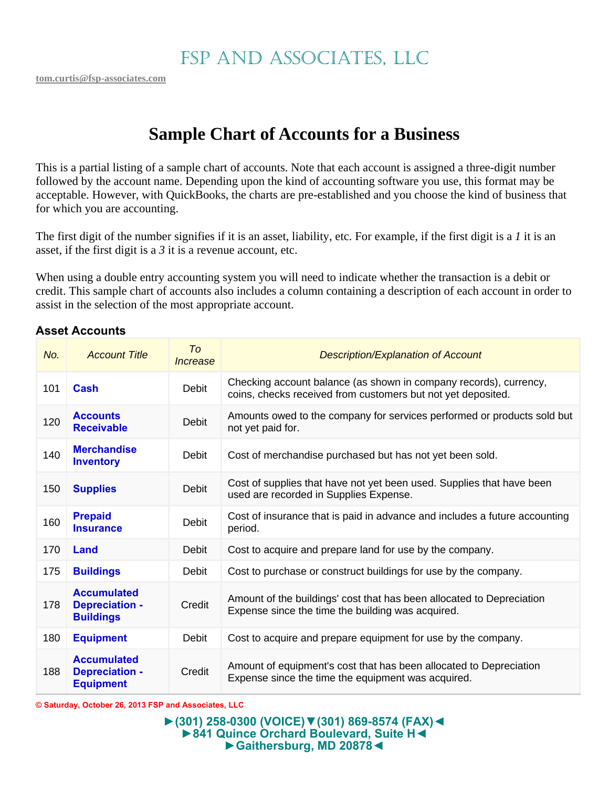# **Sample Chart of Accounts for a Business**

This is a partial listing of a sample chart of accounts. Note that each account is assigned a three-digit number followed by the account name. Depending upon the kind of accounting software you use, this format may be acceptable. However, with QuickBooks, the charts are pre-established and you choose the kind of business that for which you are accounting.

The first digit of the number signifies if it is an asset, liability, etc. For example, if the first digit is a *1* it is an asset, if the first digit is a *3* it is a revenue account, etc.

When using a double entry accounting system you will need to indicate whether the transaction is a debit or credit. This sample chart of accounts also includes a column containing a description of each account in order to assist in the selection of the most appropriate account.

#### **Asset Accounts**

| No. | <b>Account Title</b>                                            | T <sub>o</sub><br>Increase | <b>Description/Explanation of Account</b>                                                                                         |
|-----|-----------------------------------------------------------------|----------------------------|-----------------------------------------------------------------------------------------------------------------------------------|
| 101 | <b>Cash</b>                                                     | <b>Debit</b>               | Checking account balance (as shown in company records), currency,<br>coins, checks received from customers but not yet deposited. |
| 120 | <b>Accounts</b><br><b>Receivable</b>                            | Debit                      | Amounts owed to the company for services performed or products sold but<br>not yet paid for.                                      |
| 140 | <b>Merchandise</b><br><b>Inventory</b>                          | Debit                      | Cost of merchandise purchased but has not yet been sold.                                                                          |
| 150 | <b>Supplies</b>                                                 | Debit                      | Cost of supplies that have not yet been used. Supplies that have been<br>used are recorded in Supplies Expense.                   |
| 160 | <b>Prepaid</b><br><b>Insurance</b>                              | Debit                      | Cost of insurance that is paid in advance and includes a future accounting<br>period.                                             |
| 170 | Land                                                            | Debit                      | Cost to acquire and prepare land for use by the company.                                                                          |
| 175 | <b>Buildings</b>                                                | Debit                      | Cost to purchase or construct buildings for use by the company.                                                                   |
| 178 | <b>Accumulated</b><br><b>Depreciation -</b><br><b>Buildings</b> | Credit                     | Amount of the buildings' cost that has been allocated to Depreciation<br>Expense since the time the building was acquired.        |
| 180 | <b>Equipment</b>                                                | Debit                      | Cost to acquire and prepare equipment for use by the company.                                                                     |
| 188 | <b>Accumulated</b><br><b>Depreciation -</b><br><b>Equipment</b> | Credit                     | Amount of equipment's cost that has been allocated to Depreciation<br>Expense since the time the equipment was acquired.          |

**© Saturday, October 26, 2013 FSP and Associates, LLC**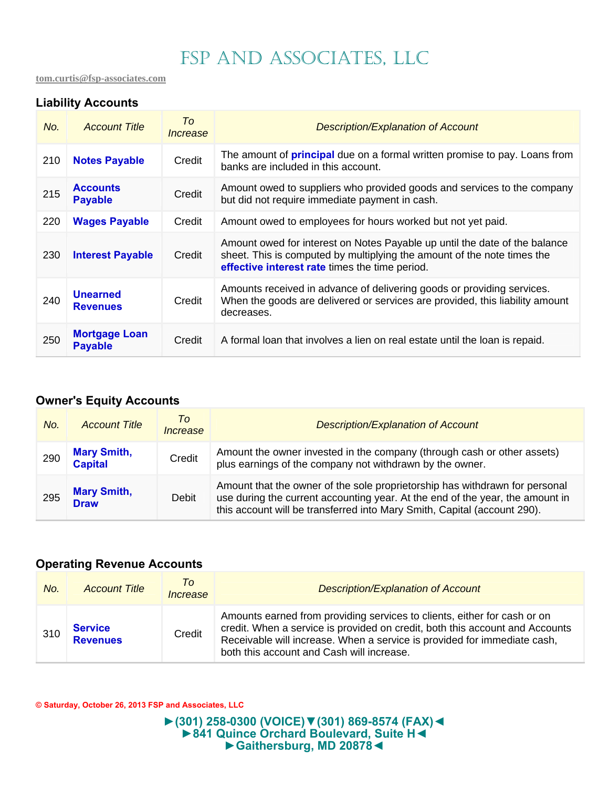**tom.curtis@fsp-associates.com** 

### **Liability Accounts**

| No. | <b>Account Title</b>                   | To<br>Increase | <b>Description/Explanation of Account</b>                                                                                                                                                               |
|-----|----------------------------------------|----------------|---------------------------------------------------------------------------------------------------------------------------------------------------------------------------------------------------------|
| 210 | <b>Notes Payable</b>                   | Credit         | The amount of <b>principal</b> due on a formal written promise to pay. Loans from<br>banks are included in this account.                                                                                |
| 215 | <b>Accounts</b><br><b>Payable</b>      | Credit         | Amount owed to suppliers who provided goods and services to the company<br>but did not require immediate payment in cash.                                                                               |
| 220 | <b>Wages Payable</b>                   | Credit         | Amount owed to employees for hours worked but not yet paid.                                                                                                                                             |
| 230 | <b>Interest Payable</b>                | Credit         | Amount owed for interest on Notes Payable up until the date of the balance<br>sheet. This is computed by multiplying the amount of the note times the<br>effective interest rate times the time period. |
| 240 | <b>Unearned</b><br><b>Revenues</b>     | Credit         | Amounts received in advance of delivering goods or providing services.<br>When the goods are delivered or services are provided, this liability amount<br>decreases.                                    |
| 250 | <b>Mortgage Loan</b><br><b>Payable</b> | Credit         | A formal loan that involves a lien on real estate until the loan is repaid.                                                                                                                             |

### **Owner's Equity Accounts**

| No. | <b>Account Title</b>                 | Tο<br>Increase | <b>Description/Explanation of Account</b>                                                                                                                                                                                                |
|-----|--------------------------------------|----------------|------------------------------------------------------------------------------------------------------------------------------------------------------------------------------------------------------------------------------------------|
| 290 | <b>Mary Smith,</b><br><b>Capital</b> | Credit         | Amount the owner invested in the company (through cash or other assets)<br>plus earnings of the company not withdrawn by the owner.                                                                                                      |
| 295 | <b>Mary Smith,</b><br><b>Draw</b>    | Debit          | Amount that the owner of the sole proprietorship has withdrawn for personal<br>use during the current accounting year. At the end of the year, the amount in<br>this account will be transferred into Mary Smith, Capital (account 290). |

#### **Operating Revenue Accounts**

| No. | <b>Account Title</b>              | To<br>Increase | <b>Description/Explanation of Account</b>                                                                                                                                                                                                                                         |
|-----|-----------------------------------|----------------|-----------------------------------------------------------------------------------------------------------------------------------------------------------------------------------------------------------------------------------------------------------------------------------|
| 310 | <b>Service</b><br><b>Revenues</b> | Credit         | Amounts earned from providing services to clients, either for cash or on<br>credit. When a service is provided on credit, both this account and Accounts<br>Receivable will increase. When a service is provided for immediate cash,<br>both this account and Cash will increase. |

**© Saturday, October 26, 2013 FSP and Associates, LLC** 

**►(301) 258-0300 (VOICE)▼(301) 869-8574 (FAX)◄ ►841 Quince Orchard Boulevard, Suite H◄ ►Gaithersburg, MD 20878◄**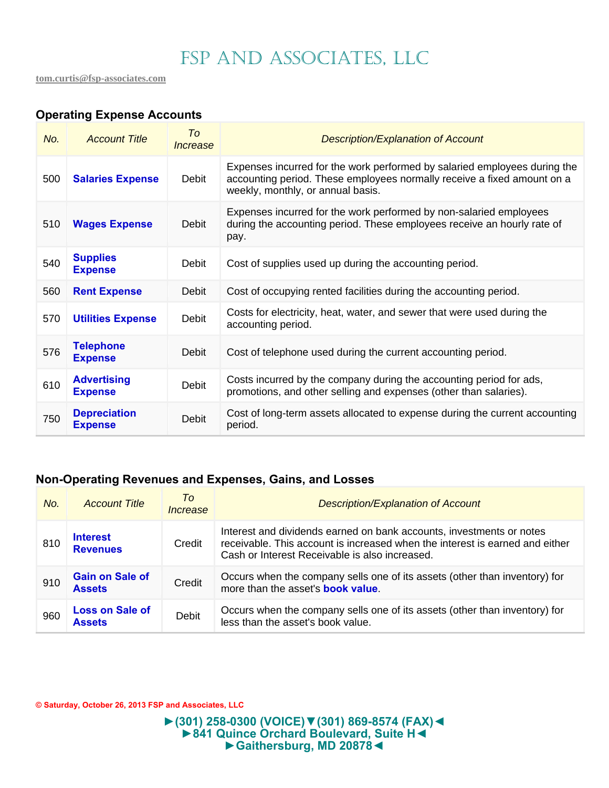## **Operating Expense Accounts**

| No. | <b>Account Title</b>                  | Tο<br>Increase | <b>Description/Explanation of Account</b>                                                                                                                                                 |
|-----|---------------------------------------|----------------|-------------------------------------------------------------------------------------------------------------------------------------------------------------------------------------------|
| 500 | <b>Salaries Expense</b>               | Debit          | Expenses incurred for the work performed by salaried employees during the<br>accounting period. These employees normally receive a fixed amount on a<br>weekly, monthly, or annual basis. |
| 510 | <b>Wages Expense</b>                  | Debit          | Expenses incurred for the work performed by non-salaried employees<br>during the accounting period. These employees receive an hourly rate of<br>pay.                                     |
| 540 | <b>Supplies</b><br><b>Expense</b>     | Debit          | Cost of supplies used up during the accounting period.                                                                                                                                    |
| 560 | <b>Rent Expense</b>                   | Debit          | Cost of occupying rented facilities during the accounting period.                                                                                                                         |
| 570 | <b>Utilities Expense</b>              | Debit          | Costs for electricity, heat, water, and sewer that were used during the<br>accounting period.                                                                                             |
| 576 | <b>Telephone</b><br><b>Expense</b>    | Debit          | Cost of telephone used during the current accounting period.                                                                                                                              |
| 610 | <b>Advertising</b><br><b>Expense</b>  | Debit          | Costs incurred by the company during the accounting period for ads,<br>promotions, and other selling and expenses (other than salaries).                                                  |
| 750 | <b>Depreciation</b><br><b>Expense</b> | Debit          | Cost of long-term assets allocated to expense during the current accounting<br>period.                                                                                                    |

### **Non-Operating Revenues and Expenses, Gains, and Losses**

| No. | <b>Account Title</b>                    | To<br>Increase | <b>Description/Explanation of Account</b>                                                                                                                                                              |
|-----|-----------------------------------------|----------------|--------------------------------------------------------------------------------------------------------------------------------------------------------------------------------------------------------|
| 810 | <b>Interest</b><br><b>Revenues</b>      | Credit         | Interest and dividends earned on bank accounts, investments or notes<br>receivable. This account is increased when the interest is earned and either<br>Cash or Interest Receivable is also increased. |
| 910 | <b>Gain on Sale of</b><br><b>Assets</b> | Credit         | Occurs when the company sells one of its assets (other than inventory) for<br>more than the asset's <b>book value</b> .                                                                                |
| 960 | <b>Loss on Sale of</b><br>Assets        | Debit          | Occurs when the company sells one of its assets (other than inventory) for<br>less than the asset's book value.                                                                                        |

**© Saturday, October 26, 2013 FSP and Associates, LLC** 

#### **►(301) 258-0300 (VOICE)▼(301) 869-8574 (FAX)◄ ►841 Quince Orchard Boulevard, Suite H◄ ►Gaithersburg, MD 20878◄**